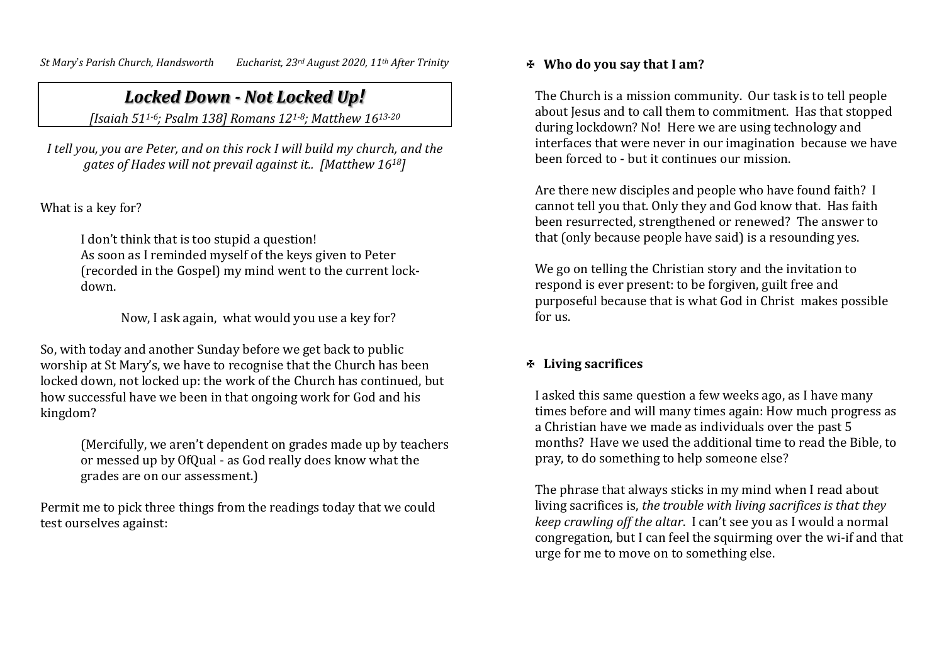## *Locked Down - Not Locked Up!*

*[Isaiah 511-6; Psalm 138] Romans 121-8; Matthew 1613-20*

*I tell you, you are Peter, and on this rock I will build my church, and the gates of Hades will not prevail against it.. [Matthew 1618]*

What is a key for?

I don't think that is too stupid a question! As soon as I reminded myself of the keys given to Peter (recorded in the Gospel) my mind went to the current lockdown.

Now, I ask again, what would you use a key for?

So, with today and another Sunday before we get back to public worship at St Mary's, we have to recognise that the Church has been locked down, not locked up: the work of the Church has continued, but how successful have we been in that ongoing work for God and his kingdom?

(Mercifully, we aren't dependent on grades made up by teachers or messed up by OfQual - as God really does know what the grades are on our assessment.)

Permit me to pick three things from the readings today that we could test ourselves against:

## **Who do you say that I am?**

The Church is a mission community. Our task is to tell people about Jesus and to call them to commitment. Has that stopped during lockdown? No! Here we are using technology and interfaces that were never in our imagination because we have been forced to - but it continues our mission.

Are there new disciples and people who have found faith? I cannot tell you that. Only they and God know that. Has faith been resurrected, strengthened or renewed? The answer to that (only because people have said) is a resounding yes.

We go on telling the Christian story and the invitation to respond is ever present: to be forgiven, guilt free and purposeful because that is what God in Christ makes possible for us.

## **Living sacrifices**

I asked this same question a few weeks ago, as I have many times before and will many times again: How much progress as a Christian have we made as individuals over the past 5 months? Have we used the additional time to read the Bible, to pray, to do something to help someone else?

The phrase that always sticks in my mind when I read about living sacrifices is, *the trouble with living sacrifices is that they keep crawling off the altar*. I can't see you as I would a normal congregation, but I can feel the squirming over the wi-if and that urge for me to move on to something else.